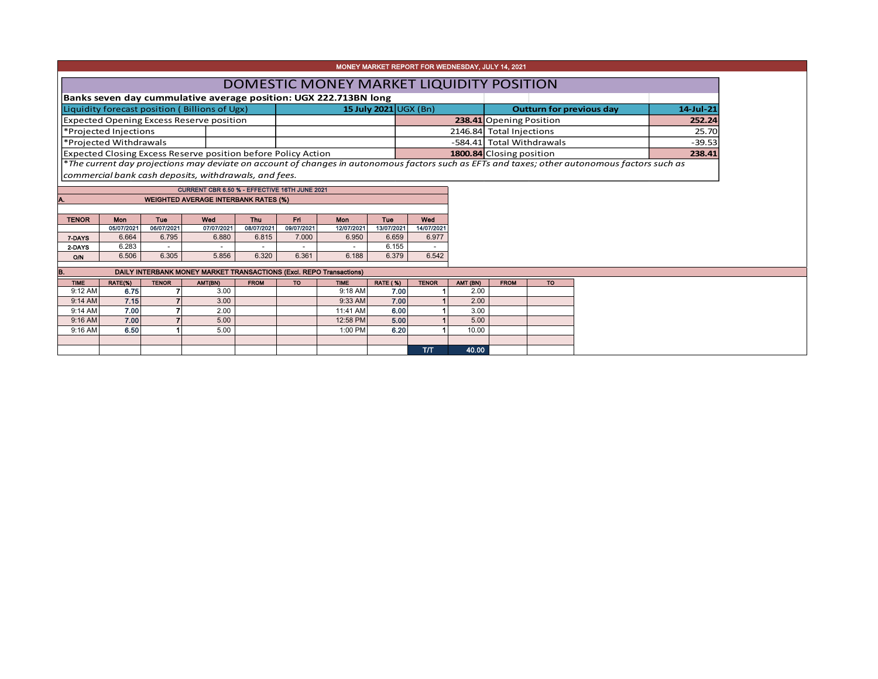| MONEY MARKET REPORT FOR WEDNESDAY, JULY 14, 2021 |            |                                                                                                  |                                                                  |            |                             |            |            |                           |                          |                                                                                                                                               |           |  |
|--------------------------------------------------|------------|--------------------------------------------------------------------------------------------------|------------------------------------------------------------------|------------|-----------------------------|------------|------------|---------------------------|--------------------------|-----------------------------------------------------------------------------------------------------------------------------------------------|-----------|--|
| DOMESTIC MONEY MARKET LIQUIDITY POSITION         |            |                                                                                                  |                                                                  |            |                             |            |            |                           |                          |                                                                                                                                               |           |  |
|                                                  |            |                                                                                                  | Banks seven day cummulative average position: UGX 222.713BN long |            |                             |            |            |                           |                          |                                                                                                                                               |           |  |
| Liquidity forecast position (Billions of Ugx)    |            |                                                                                                  |                                                                  |            | 15 July 2021 $\bigcup$ (Bn) |            |            |                           |                          | <b>Outturn for previous day</b>                                                                                                               | 14-Jul-21 |  |
|                                                  |            |                                                                                                  | <b>Expected Opening Excess Reserve position</b>                  |            |                             |            |            |                           |                          | 238.41 Opening Position                                                                                                                       | 252.24    |  |
| *Projected Injections                            |            |                                                                                                  |                                                                  |            |                             |            |            |                           | 2146.84 Total Injections | 25.70                                                                                                                                         |           |  |
| *Projected Withdrawals                           |            |                                                                                                  |                                                                  |            |                             |            |            | -584.41 Total Withdrawals | $-39.53$                 |                                                                                                                                               |           |  |
|                                                  |            | <b>Expected Closing Excess Reserve position before Policy Action</b><br>1800.84 Closing position |                                                                  |            |                             |            |            |                           |                          |                                                                                                                                               |           |  |
|                                                  |            |                                                                                                  |                                                                  |            |                             |            |            |                           |                          |                                                                                                                                               | 238.41    |  |
|                                                  |            |                                                                                                  |                                                                  |            |                             |            |            |                           |                          | *The current day projections may deviate on account of changes in autonomous factors such as EFTs and taxes; other autonomous factors such as |           |  |
|                                                  |            |                                                                                                  | commercial bank cash deposits, withdrawals, and fees.            |            |                             |            |            |                           |                          |                                                                                                                                               |           |  |
|                                                  |            |                                                                                                  | CURRENT CBR 6.50 % - EFFECTIVE 16TH JUNE 2021                    |            |                             |            |            |                           |                          |                                                                                                                                               |           |  |
| А.                                               |            |                                                                                                  | <b>WEIGHTED AVERAGE INTERBANK RATES (%)</b>                      |            |                             |            |            |                           |                          |                                                                                                                                               |           |  |
|                                                  |            |                                                                                                  |                                                                  |            |                             |            |            |                           |                          |                                                                                                                                               |           |  |
| <b>TENOR</b>                                     | <b>Mon</b> | <b>Tue</b>                                                                                       | Wed                                                              | Thu        | Fri.                        | Mon        | Tue        | Wed                       |                          |                                                                                                                                               |           |  |
|                                                  | 05/07/2021 | 06/07/2021                                                                                       | 07/07/2021                                                       | 08/07/2021 | 09/07/2021                  | 12/07/2021 | 13/07/2021 | 14/07/2021                |                          |                                                                                                                                               |           |  |
| 7-DAYS                                           | 6.664      | 6.795                                                                                            | 6.880                                                            | 6.815      | 7.000                       | 6.950      | 6.659      | 6.977                     |                          |                                                                                                                                               |           |  |
| 2-DAYS                                           | 6.283      | $\sim$                                                                                           | $\overline{\phantom{a}}$                                         |            |                             |            | 6.155      |                           |                          |                                                                                                                                               |           |  |

| IB.         | DAILY INTERBANK MONEY MARKET TRANSACTIONS (Excl. REPO Transactions) |              |          |             |           |      |     |       |  |  |
|-------------|---------------------------------------------------------------------|--------------|----------|-------------|-----------|------|-----|-------|--|--|
| <b>TIME</b> | RATE(%)                                                             | <b>TENOR</b> | AMT (BN) | <b>FROM</b> | <b>TO</b> |      |     |       |  |  |
| 9:12 AM     | 6.75                                                                |              | 3.00     |             | 9:18 AM   | 7.00 |     | 2.00  |  |  |
| $9:14$ AM   | 7.15                                                                |              | 3.00     |             | 9:33 AM   | 7.00 |     | 2.00  |  |  |
| 9:14 AM     | 7.00                                                                |              | 2.00     |             | 11:41 AM  | 6.00 |     | 3.00  |  |  |
| 9:16 AM     | 7.00                                                                |              | 5.00     |             | 12:58 PM  | 5.00 |     | 5.00  |  |  |
| $9:16$ AM   | 6.50                                                                |              | 5.00     |             | 1:00 PM   | 6.20 |     | 10.00 |  |  |
|             |                                                                     |              |          |             |           |      |     |       |  |  |
|             |                                                                     |              |          |             |           |      | T/T | 40.00 |  |  |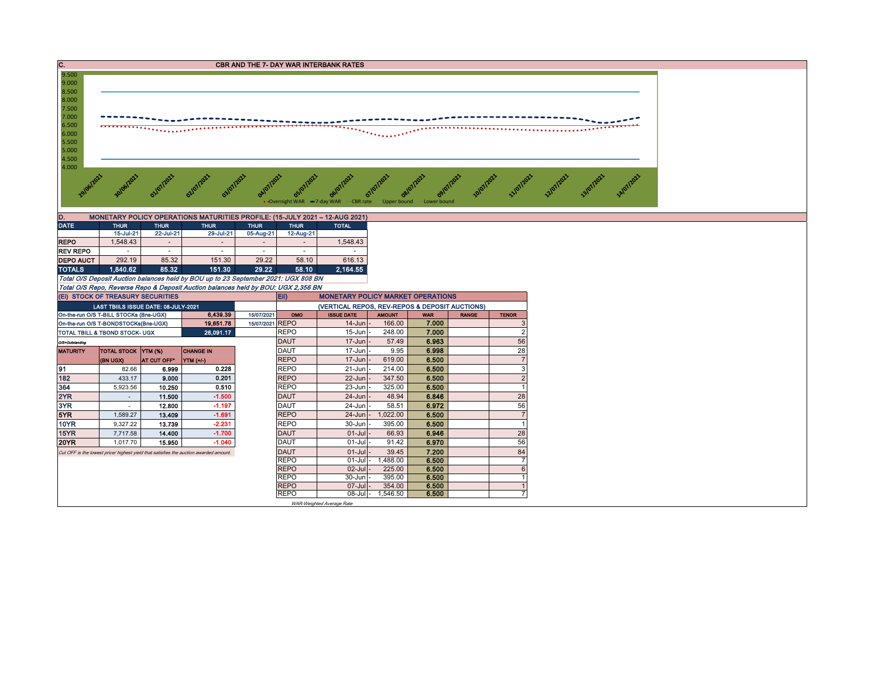